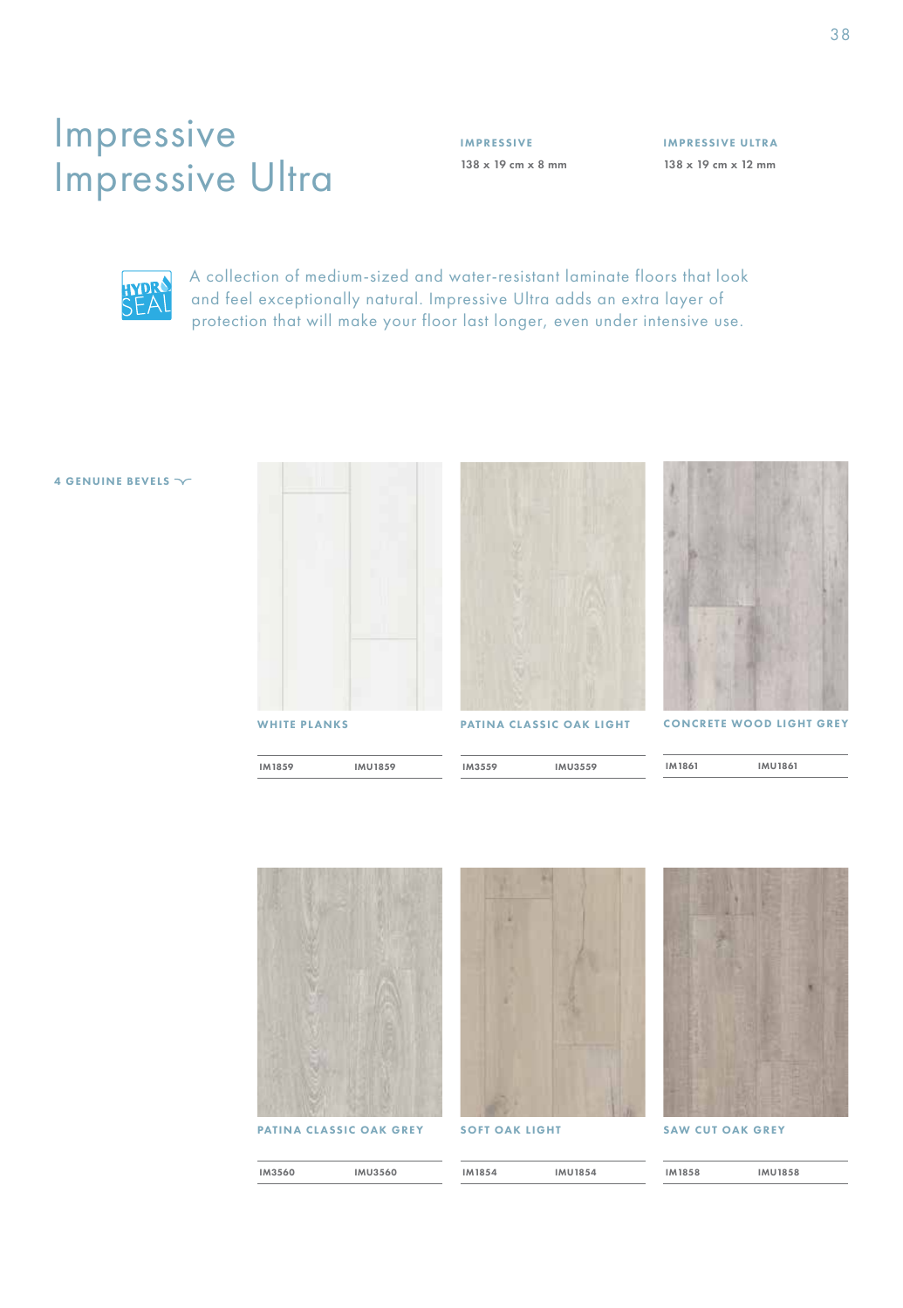## Impressive Impressive Ultra

IMPRESSIVE 138 x 19 cm x 8 mm IMPRESSIVE ULTRA 138 x 19 cm x 12 mm



A collection of medium-sized and water-resistant laminate floors that look and feel exceptionally natural. Impressive Ultra adds an extra layer of protection that will make your floor last longer, even under intensive use.

## 4 GENUINE BEVELS  $\sim$



IM1859 IMU1859





PATINA CLASSIC OAK LIGHT

IM3559 IMU3559

IM1861 IMU1861



PATINA CLASSIC OAK GREY

IM3560 IMU3560

SOFT OAK LIGHT

IM1854 IMU1854



SAW CUT OAK GREY

| <b>IM1858</b> | <b>IMU1858</b> |  |
|---------------|----------------|--|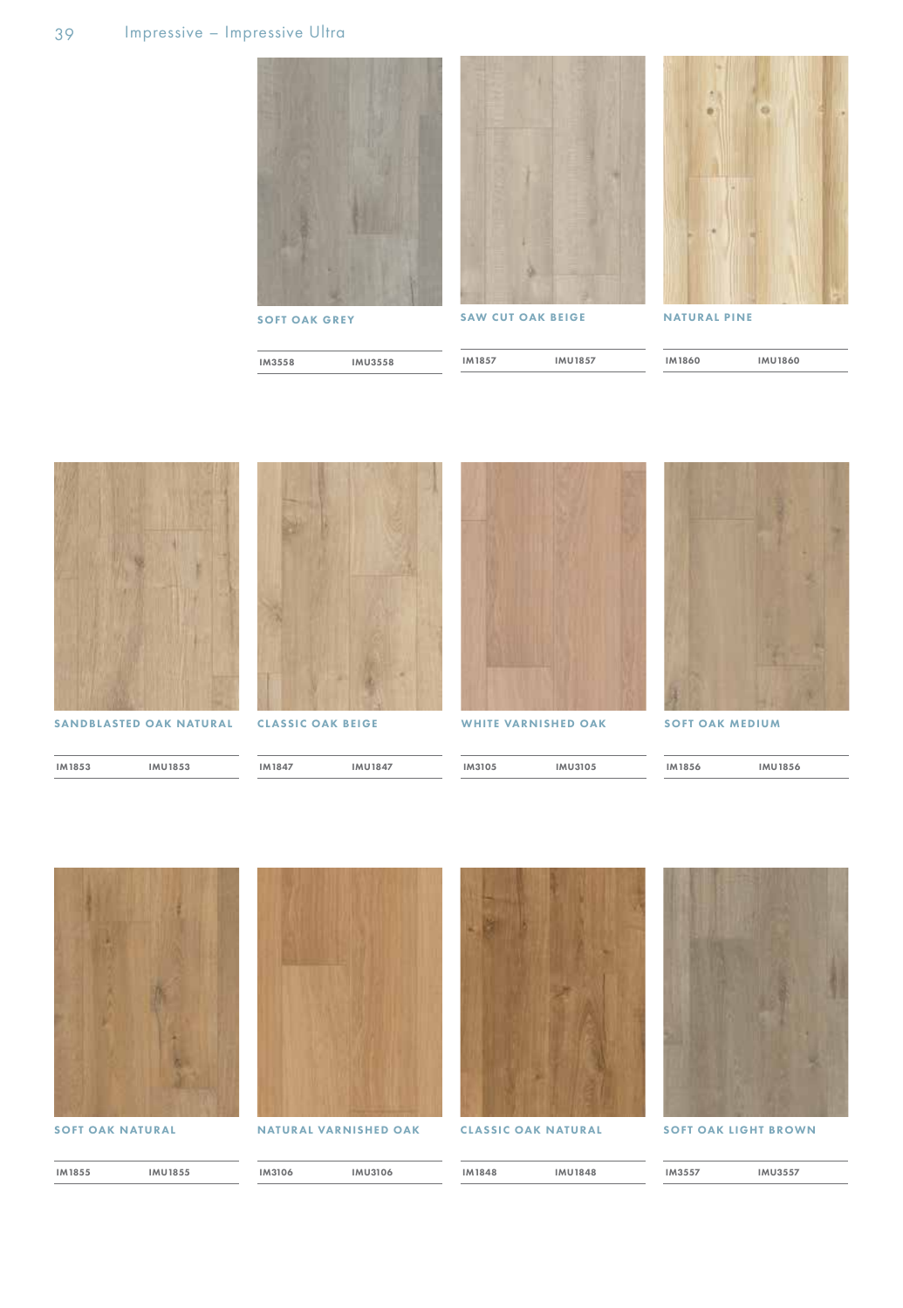

SOFT OAK GREY

IM3558 IMU3558



IM1857 IMU1857

NATURAL PINE

| <b>IM1860</b> | <b>IMU1860</b> |
|---------------|----------------|
|               |                |



SANDBLASTED OAK NATURAL

IM1853 IMU1853



CLASSIC OAK BEIGE

IM1847 IMU1847



WHITE VARNISHED OAK

IM3105 IMU3105



SOFT OAK MEDIUM

| <b>IMU1856</b><br><b>IM1856</b> |
|---------------------------------|
|---------------------------------|



SOFT OAK NATURAL



NATURAL VARNISHED OAK

CLASSIC OAK NATURAL

IM1848 IMU1848



SOFT OAK LIGHT BROWN

| - | IM3557 | <b>IMU3557</b> |
|---|--------|----------------|
|   |        |                |

IM1855 IMU1855

IM3106 IMU3106